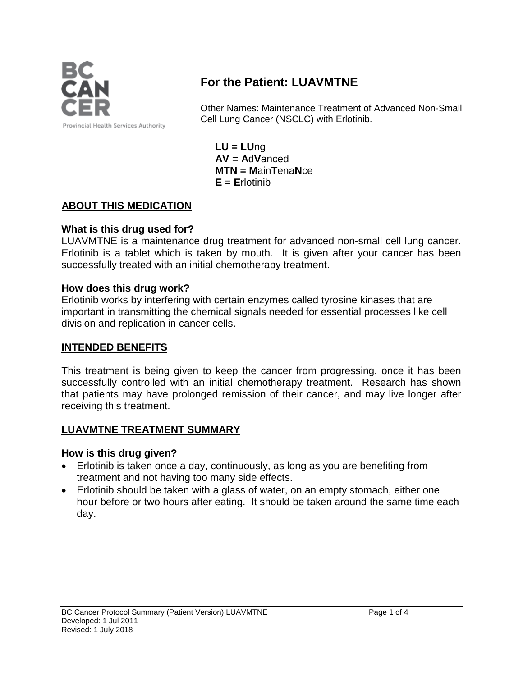

# **For the Patient: LUAVMTNE**

Other Names: Maintenance Treatment of Advanced Non-Small Cell Lung Cancer (NSCLC) with Erlotinib.

**LU = LU**ng **AV = A**d**V**anced **MTN = M**ain**T**ena**N**ce **E** = **E**rlotinib

## **ABOUT THIS MEDICATION**

#### **What is this drug used for?**

LUAVMTNE is a maintenance drug treatment for advanced non-small cell lung cancer. Erlotinib is a tablet which is taken by mouth. It is given after your cancer has been successfully treated with an initial chemotherapy treatment.

#### **How does this drug work?**

Erlotinib works by interfering with certain enzymes called tyrosine kinases that are important in transmitting the chemical signals needed for essential processes like cell division and replication in cancer cells.

#### **INTENDED BENEFITS**

This treatment is being given to keep the cancer from progressing, once it has been successfully controlled with an initial chemotherapy treatment. Research has shown that patients may have prolonged remission of their cancer, and may live longer after receiving this treatment.

## **LUAVMTNE TREATMENT SUMMARY**

#### **How is this drug given?**

- Erlotinib is taken once a day, continuously, as long as you are benefiting from treatment and not having too many side effects.
- Erlotinib should be taken with a glass of water, on an empty stomach, either one hour before or two hours after eating. It should be taken around the same time each day.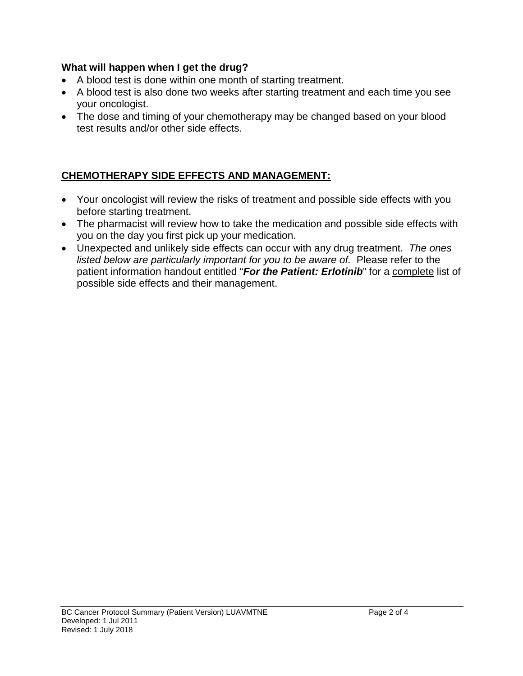#### **What will happen when I get the drug?**

- A blood test is done within one month of starting treatment.
- A blood test is also done two weeks after starting treatment and each time you see your oncologist.
- The dose and timing of your chemotherapy may be changed based on your blood test results and/or other side effects.

## **CHEMOTHERAPY SIDE EFFECTS AND MANAGEMENT:**

- Your oncologist will review the risks of treatment and possible side effects with you before starting treatment.
- The pharmacist will review how to take the medication and possible side effects with you on the day you first pick up your medication.
- Unexpected and unlikely side effects can occur with any drug treatment. *The ones listed below are particularly important for you to be aware of.* Please refer to the patient information handout entitled "*For the Patient: Erlotinib*" for a complete list of possible side effects and their management.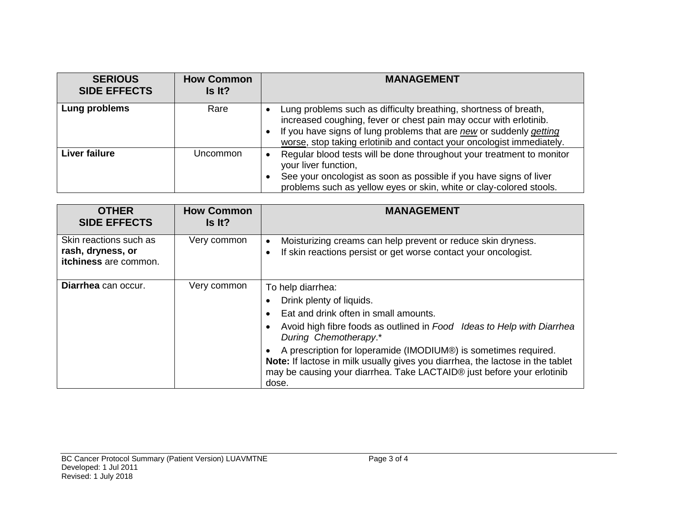| <b>SERIOUS</b><br><b>SIDE EFFECTS</b> | <b>How Common</b><br>Is It? | <b>MANAGEMENT</b>                                                                                                                                                                                                                                                                     |
|---------------------------------------|-----------------------------|---------------------------------------------------------------------------------------------------------------------------------------------------------------------------------------------------------------------------------------------------------------------------------------|
| Lung problems                         | Rare                        | Lung problems such as difficulty breathing, shortness of breath,<br>increased coughing, fever or chest pain may occur with erlotinib.<br>If you have signs of lung problems that are new or suddenly getting<br>worse, stop taking erlotinib and contact your oncologist immediately. |
| Liver failure                         | Uncommon                    | Regular blood tests will be done throughout your treatment to monitor<br>your liver function,<br>See your oncologist as soon as possible if you have signs of liver<br>problems such as yellow eyes or skin, white or clay-colored stools.                                            |

| <b>OTHER</b><br><b>SIDE EFFECTS</b>                                  | <b>How Common</b><br>Is It? | <b>MANAGEMENT</b>                                                                                                                                                                                                                                                                                                                                                                                                                 |
|----------------------------------------------------------------------|-----------------------------|-----------------------------------------------------------------------------------------------------------------------------------------------------------------------------------------------------------------------------------------------------------------------------------------------------------------------------------------------------------------------------------------------------------------------------------|
| Skin reactions such as<br>rash, dryness, or<br>itchiness are common. | Very common                 | Moisturizing creams can help prevent or reduce skin dryness.<br>If skin reactions persist or get worse contact your oncologist.<br>$\bullet$                                                                                                                                                                                                                                                                                      |
| Diarrhea can occur.                                                  | Very common                 | To help diarrhea:<br>Drink plenty of liquids.<br>Eat and drink often in small amounts.<br>Avoid high fibre foods as outlined in Food Ideas to Help with Diarrhea<br>During Chemotherapy.*<br>A prescription for loperamide (IMODIUM®) is sometimes required.<br>Note: If lactose in milk usually gives you diarrhea, the lactose in the tablet<br>may be causing your diarrhea. Take LACTAID® just before your erlotinib<br>dose. |